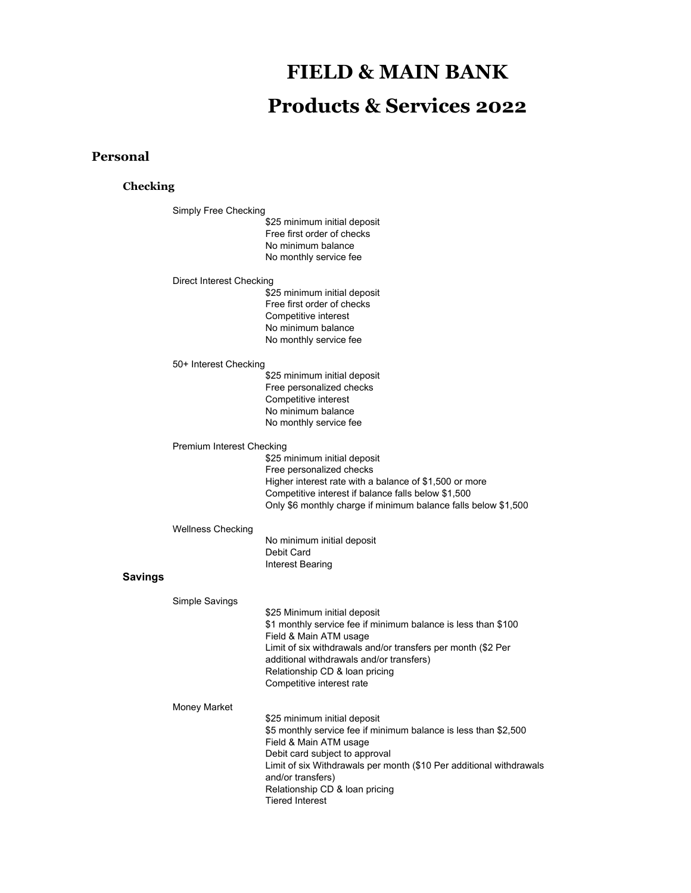# **FIELD & MAIN BANK Products & Services 2022**

# **Personal**

### **Checking**

Simply Free Checking \$25 minimum initial deposit Free first order of checks No minimum balance No monthly service fee Direct Interest Checking \$25 minimum initial deposit Free first order of checks Competitive interest No minimum balance No monthly service fee 50+ Interest Checking \$25 minimum initial deposit Free personalized checks Competitive interest No minimum balance No monthly service fee Premium Interest Checking \$25 minimum initial deposit Free personalized checks Higher interest rate with a balance of \$1,500 or more Competitive interest if balance falls below \$1,500 Only \$6 monthly charge if minimum balance falls below \$1,500 Wellness Checking No minimum initial deposit Debit Card Interest Bearing **Savings** Simple Savings \$25 Minimum initial deposit \$1 monthly service fee if minimum balance is less than \$100 Field & Main ATM usage Limit of six withdrawals and/or transfers per month (\$2 Per additional withdrawals and/or transfers) Relationship CD & loan pricing Competitive interest rate Money Market \$25 minimum initial deposit \$5 monthly service fee if minimum balance is less than \$2,500 Field & Main ATM usage Debit card subject to approval Limit of six Withdrawals per month (\$10 Per additional withdrawals and/or transfers) Relationship CD & loan pricing Tiered Interest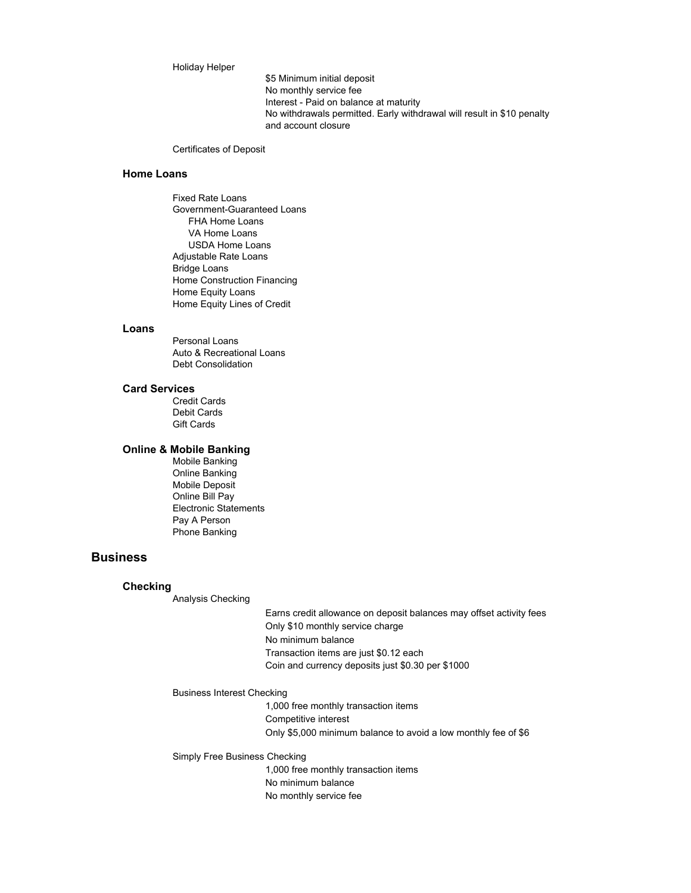#### Holiday Helper

\$5 Minimum initial deposit No monthly service fee Interest - Paid on balance at maturity No withdrawals permitted. Early withdrawal will result in \$10 penalty and account closure

Certificates of Deposit

### **Home Loans**

Fixed Rate Loans Government-Guaranteed Loans FHA Home Loans VA Home Loans USDA Home Loans Adjustable Rate Loans Bridge Loans Home Construction Financing Home Equity Loans Home Equity Lines of Credit

#### **Loans**

Personal Loans Auto & Recreational Loans Debt Consolidation

#### **Card Services**

Credit Cards Debit Cards Gift Cards

#### **Online & Mobile Banking**

Mobile Banking Online Banking Mobile Deposit Online Bill Pay Electronic Statements Pay A Person Phone Banking

# **Business**

#### **Checking**

Analysis Checking

Earns credit allowance on deposit balances may offset activity fees Only \$10 monthly service charge No minimum balance Transaction items are just \$0.12 each Coin and currency deposits just \$0.30 per \$1000

#### Business Interest Checking

1,000 free monthly transaction items Competitive interest Only \$5,000 minimum balance to avoid a low monthly fee of \$6

Simply Free Business Checking

1,000 free monthly transaction items No minimum balance No monthly service fee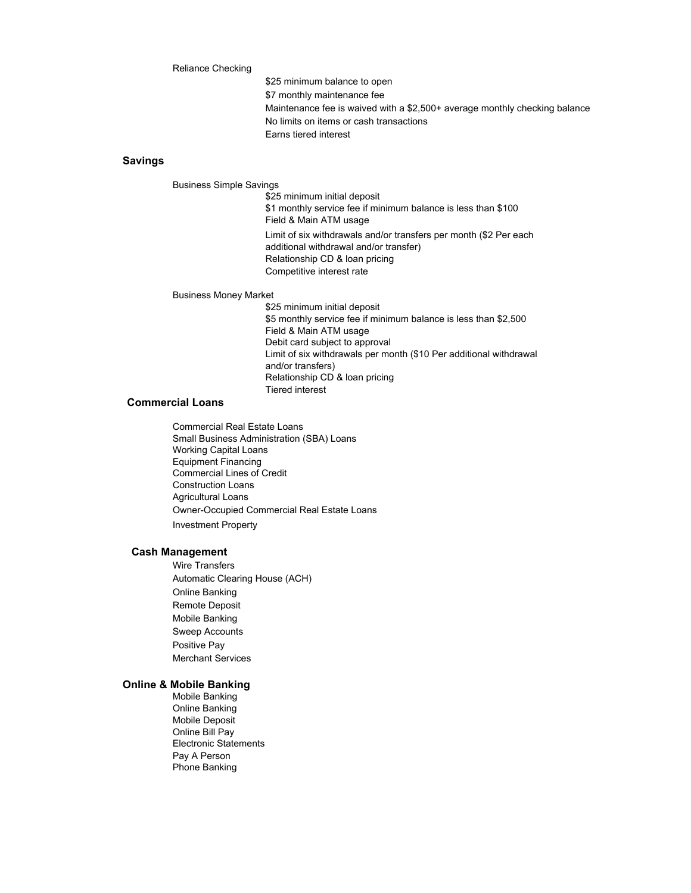#### Reliance Checking

\$25 minimum balance to open \$7 monthly maintenance fee Maintenance fee is waived with a \$2,500+ average monthly checking balance No limits on items or cash transactions Earns tiered interest

### **Savings**

Business Simple Savings

\$25 minimum initial deposit \$1 monthly service fee if minimum balance is less than \$100 Field & Main ATM usage Limit of six withdrawals and/or transfers per month (\$2 Per each

additional withdrawal and/or transfer) Relationship CD & loan pricing Competitive interest rate

#### Business Money Market

\$25 minimum initial deposit \$5 monthly service fee if minimum balance is less than \$2,500 Field & Main ATM usage Debit card subject to approval Limit of six withdrawals per month (\$10 Per additional withdrawal and/or transfers) Relationship CD & loan pricing Tiered interest

#### **Commercial Loans**

Commercial Real Estate Loans Small Business Administration (SBA) Loans Working Capital Loans Equipment Financing Commercial Lines of Credit Construction Loans Agricultural Loans Owner-Occupied Commercial Real Estate Loans Investment Property

#### **Cash Management**

Wire Transfers Automatic Clearing House (ACH) Online Banking Remote Deposit Mobile Banking Sweep Accounts Positive Pay Merchant Services

## **Online & Mobile Banking**

Mobile Banking Online Banking Mobile Deposit Online Bill Pay Electronic Statements Pay A Person Phone Banking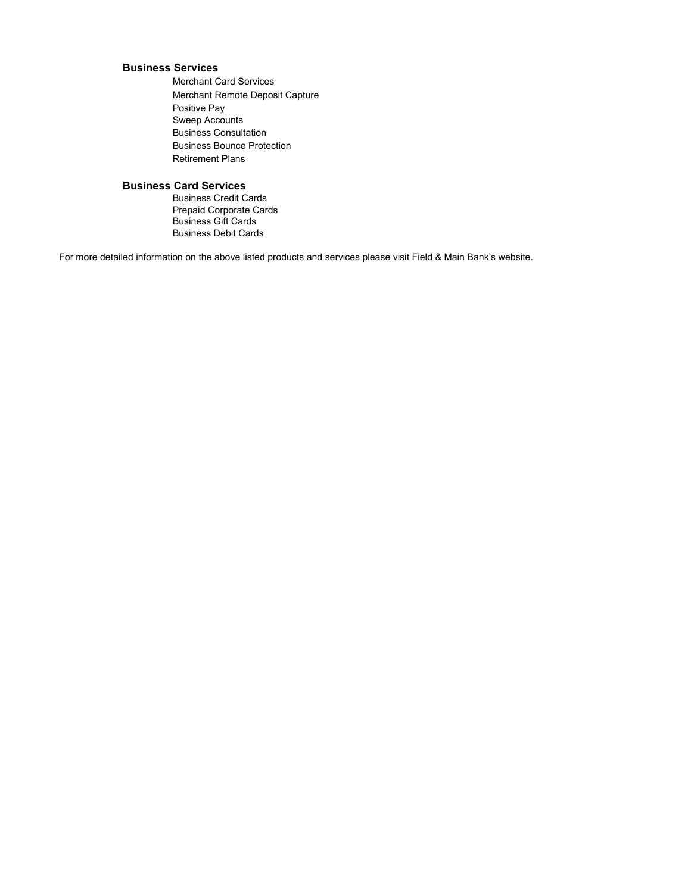## **Business Services**

Merchant Card Services Merchant Remote Deposit Capture Positive Pay Sweep Accounts Business Consultation Business Bounce Protection Retirement Plans

# **Business Card Services**

Business Credit Cards Prepaid Corporate Cards Business Gift Cards Business Debit Cards

For more detailed information on the above listed products and services please visit Field & Main Bank's website.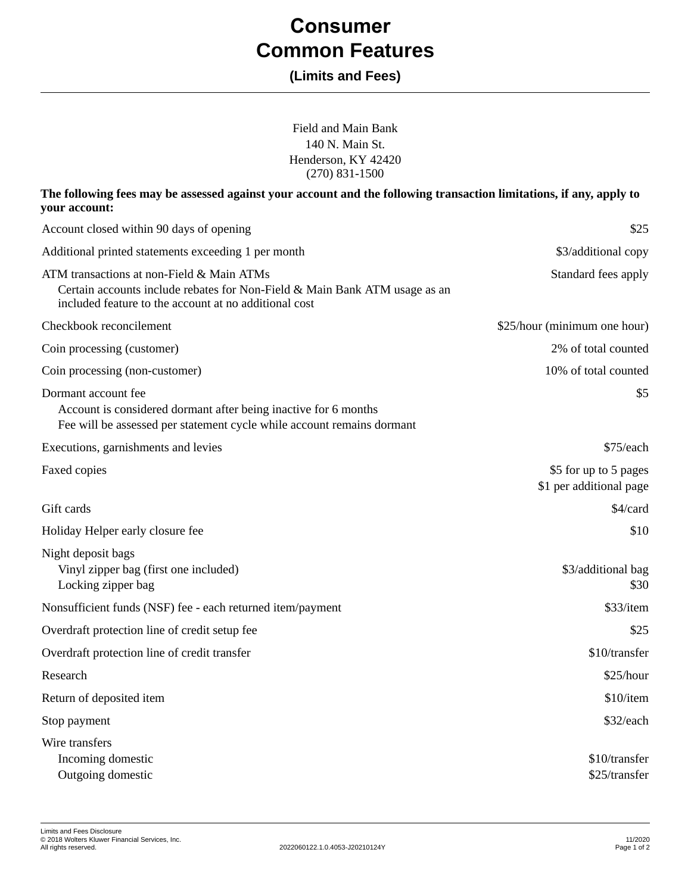# **Consumer Common Features**

# **(Limits and Fees)**

Field and Main Bank 140 N. Main St. Henderson, KY 42420 (270) 831-1500

# **The following fees may be assessed against your account and the following transaction limitations, if any, apply to your account:**

| Account closed within 90 days of opening                                                                                                                                         | \$25                                             |
|----------------------------------------------------------------------------------------------------------------------------------------------------------------------------------|--------------------------------------------------|
| Additional printed statements exceeding 1 per month                                                                                                                              | \$3/additional copy                              |
| ATM transactions at non-Field & Main ATMs<br>Certain accounts include rebates for Non-Field & Main Bank ATM usage as an<br>included feature to the account at no additional cost | Standard fees apply                              |
| Checkbook reconcilement                                                                                                                                                          | \$25/hour (minimum one hour)                     |
| Coin processing (customer)                                                                                                                                                       | 2% of total counted                              |
| Coin processing (non-customer)                                                                                                                                                   | 10% of total counted                             |
| Dormant account fee<br>Account is considered dormant after being inactive for 6 months<br>Fee will be assessed per statement cycle while account remains dormant                 | \$5                                              |
| Executions, garnishments and levies                                                                                                                                              | \$75/each                                        |
| Faxed copies                                                                                                                                                                     | \$5 for up to 5 pages<br>\$1 per additional page |
| Gift cards                                                                                                                                                                       | \$4/card                                         |
| Holiday Helper early closure fee                                                                                                                                                 | \$10                                             |
| Night deposit bags<br>Vinyl zipper bag (first one included)<br>Locking zipper bag                                                                                                | \$3/additional bag<br>\$30                       |
| Nonsufficient funds (NSF) fee - each returned item/payment                                                                                                                       | \$33/item                                        |
| Overdraft protection line of credit setup fee                                                                                                                                    | \$25                                             |
| Overdraft protection line of credit transfer                                                                                                                                     | \$10/transfer                                    |
| Research                                                                                                                                                                         | \$25/hour                                        |
| Return of deposited item                                                                                                                                                         | \$10/item                                        |
| Stop payment                                                                                                                                                                     | \$32/each                                        |
| Wire transfers<br>Incoming domestic<br>Outgoing domestic                                                                                                                         | \$10/transfer<br>\$25/transfer                   |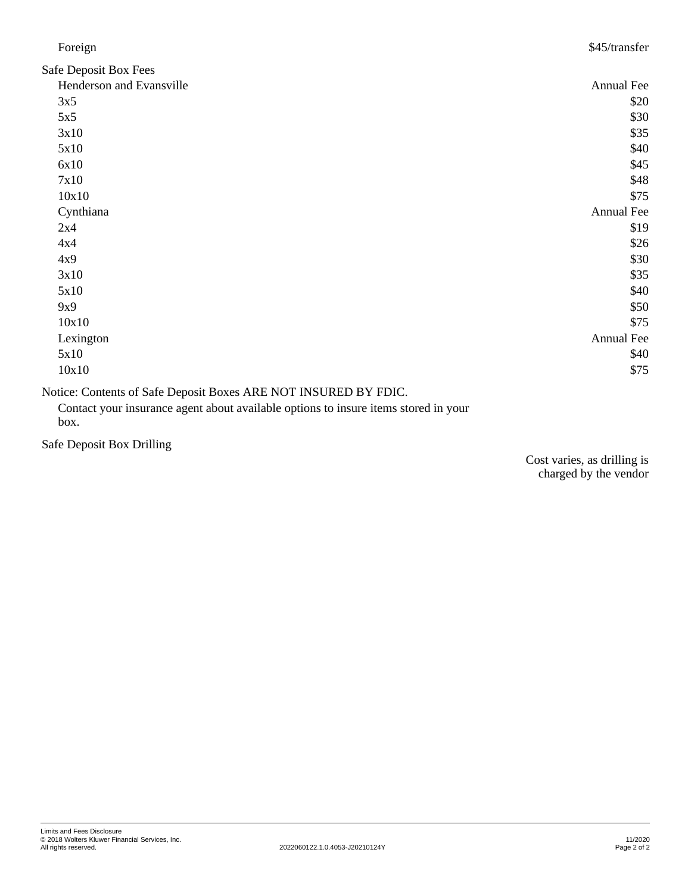| Foreign                                                                                                                                                                                                                                                                                                                            | \$45/transfer |
|------------------------------------------------------------------------------------------------------------------------------------------------------------------------------------------------------------------------------------------------------------------------------------------------------------------------------------|---------------|
| Safe Deposit Box Fees                                                                                                                                                                                                                                                                                                              |               |
| Henderson and Evansville                                                                                                                                                                                                                                                                                                           | Annual Fee    |
| 3x5                                                                                                                                                                                                                                                                                                                                | \$20          |
| 5x5                                                                                                                                                                                                                                                                                                                                | \$30          |
| 3x10                                                                                                                                                                                                                                                                                                                               | \$35          |
| 5x10                                                                                                                                                                                                                                                                                                                               | \$40          |
| 6x10                                                                                                                                                                                                                                                                                                                               | \$45          |
| 7x10                                                                                                                                                                                                                                                                                                                               | \$48          |
| 10x10                                                                                                                                                                                                                                                                                                                              | \$75          |
| Cynthiana                                                                                                                                                                                                                                                                                                                          | Annual Fee    |
| 2x4                                                                                                                                                                                                                                                                                                                                | \$19          |
| 4x4                                                                                                                                                                                                                                                                                                                                | \$26          |
| 4x9                                                                                                                                                                                                                                                                                                                                | \$30          |
| 3x10                                                                                                                                                                                                                                                                                                                               | \$35          |
| 5x10                                                                                                                                                                                                                                                                                                                               | \$40          |
| 9x9                                                                                                                                                                                                                                                                                                                                | \$50          |
| 10x10                                                                                                                                                                                                                                                                                                                              | \$75          |
| Lexington                                                                                                                                                                                                                                                                                                                          | Annual Fee    |
| 5x10                                                                                                                                                                                                                                                                                                                               | \$40          |
| 10x10                                                                                                                                                                                                                                                                                                                              | \$75          |
| $\mathbf{M}$ $\mathbf{C}$ $\mathbf{A}$ $\mathbf{A}$ $\mathbf{C}$ $\mathbf{A}$ $\mathbf{D}$ $\mathbf{A}$ $\mathbf{D}$ $\mathbf{D}$ $\mathbf{M}$ $\mathbf{D}$ $\mathbf{D}$ $\mathbf{D}$ $\mathbf{D}$ $\mathbf{D}$ $\mathbf{D}$ $\mathbf{D}$ $\mathbf{D}$ $\mathbf{D}$ $\mathbf{D}$ $\mathbf{D}$ $\mathbf{D}$ $\mathbf{D}$ $\mathbf{$ |               |

Notice: Contents of Safe Deposit Boxes ARE NOT INSURED BY FDIC.

Contact your insurance agent about available options to insure items stored in your box.

Safe Deposit Box Drilling

Cost varies, as drilling is charged by the vendor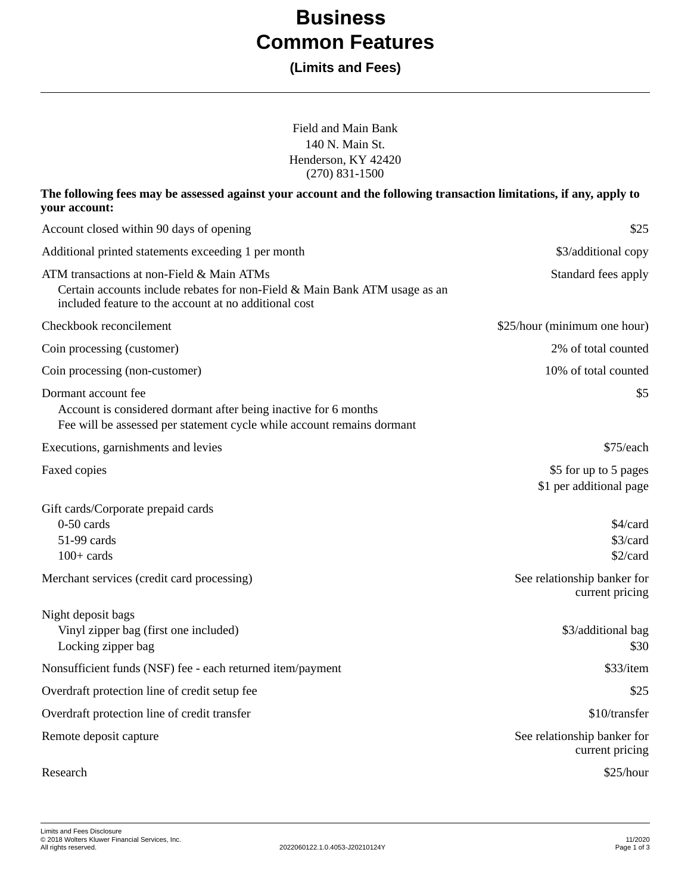# **Business Common Features**

# **(Limits and Fees)**

| Field and Main Bank<br>140 N. Main St.<br>Henderson, KY 42420<br>$(270)$ 831-1500                                                                                                |                                                  |
|----------------------------------------------------------------------------------------------------------------------------------------------------------------------------------|--------------------------------------------------|
| The following fees may be assessed against your account and the following transaction limitations, if any, apply to<br>your account:                                             |                                                  |
| Account closed within 90 days of opening                                                                                                                                         | \$25                                             |
| Additional printed statements exceeding 1 per month                                                                                                                              | \$3/additional copy                              |
| ATM transactions at non-Field & Main ATMs<br>Certain accounts include rebates for non-Field & Main Bank ATM usage as an<br>included feature to the account at no additional cost | Standard fees apply                              |
| Checkbook reconcilement                                                                                                                                                          | \$25/hour (minimum one hour)                     |
| Coin processing (customer)                                                                                                                                                       | 2% of total counted                              |
| Coin processing (non-customer)                                                                                                                                                   | 10% of total counted                             |
| Dormant account fee<br>Account is considered dormant after being inactive for 6 months<br>Fee will be assessed per statement cycle while account remains dormant                 | \$5                                              |
| Executions, garnishments and levies                                                                                                                                              | \$75/each                                        |
| Faxed copies                                                                                                                                                                     | \$5 for up to 5 pages<br>\$1 per additional page |
| Gift cards/Corporate prepaid cards<br>$0-50$ cards<br>51-99 cards<br>$100+$ cards                                                                                                | \$4/card<br>\$3/card<br>\$2/card                 |
| Merchant services (credit card processing)                                                                                                                                       | See relationship banker for<br>current pricing   |
| Night deposit bags<br>Vinyl zipper bag (first one included)<br>Locking zipper bag                                                                                                | \$3/additional bag<br>\$30                       |
| Nonsufficient funds (NSF) fee - each returned item/payment                                                                                                                       | \$33/item                                        |
| Overdraft protection line of credit setup fee                                                                                                                                    | \$25                                             |
| Overdraft protection line of credit transfer                                                                                                                                     | \$10/transfer                                    |
| Remote deposit capture                                                                                                                                                           | See relationship banker for<br>current pricing   |
| Research                                                                                                                                                                         | $\$25/hour$                                      |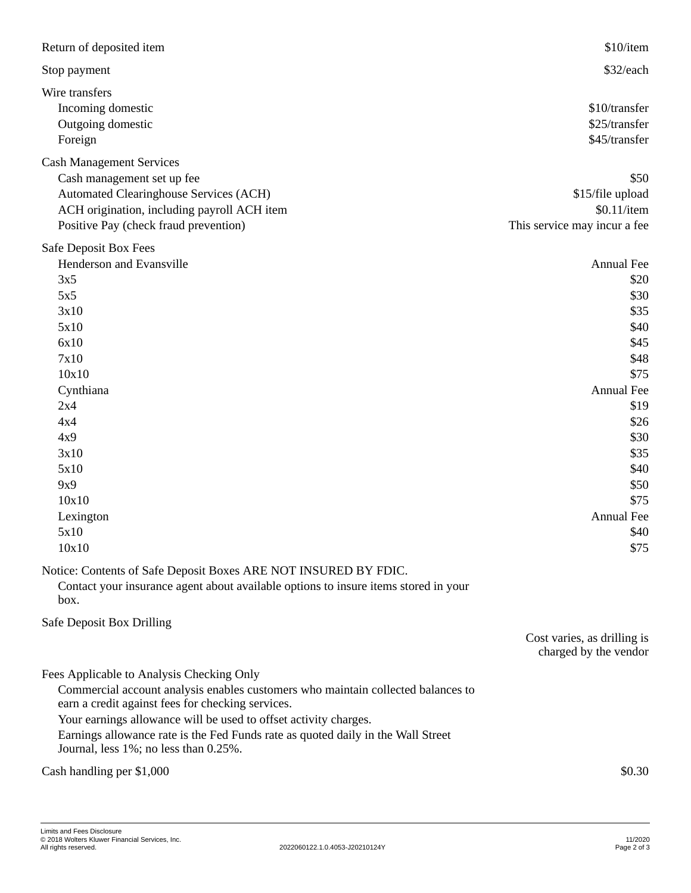| Return of deposited item                                                                                                                                                                                                                                                                                                                                                            | \$10/item                                                                                                                                                                     |
|-------------------------------------------------------------------------------------------------------------------------------------------------------------------------------------------------------------------------------------------------------------------------------------------------------------------------------------------------------------------------------------|-------------------------------------------------------------------------------------------------------------------------------------------------------------------------------|
| Stop payment                                                                                                                                                                                                                                                                                                                                                                        | \$32/each                                                                                                                                                                     |
| Wire transfers<br>Incoming domestic<br>Outgoing domestic<br>Foreign                                                                                                                                                                                                                                                                                                                 | \$10/transfer<br>\$25/transfer<br>\$45/transfer                                                                                                                               |
| <b>Cash Management Services</b><br>Cash management set up fee<br><b>Automated Clearinghouse Services (ACH)</b><br>ACH origination, including payroll ACH item<br>Positive Pay (check fraud prevention)                                                                                                                                                                              | \$50<br>\$15/file upload<br>$$0.11$ /item<br>This service may incur a fee                                                                                                     |
| Safe Deposit Box Fees<br>Henderson and Evansville<br>3x5<br>5x5<br>3x10<br>5x10<br>6x10<br>7x10<br>10x10<br>Cynthiana<br>2x4<br>4x4<br>4x9<br>3x10<br>5x10<br>9x9<br>10x10<br>Lexington<br>5x10<br>10x10                                                                                                                                                                            | Annual Fee<br>\$20<br>\$30<br>\$35<br>\$40<br>\$45<br>\$48<br>\$75<br>Annual Fee<br>\$19<br>\$26<br>\$30<br>\$35<br>\$40<br>\$50<br>\$75<br><b>Annual Fee</b><br>\$40<br>\$75 |
| Notice: Contents of Safe Deposit Boxes ARE NOT INSURED BY FDIC.<br>Contact your insurance agent about available options to insure items stored in your<br>box.                                                                                                                                                                                                                      |                                                                                                                                                                               |
| Safe Deposit Box Drilling                                                                                                                                                                                                                                                                                                                                                           | Cost varies, as drilling is<br>charged by the vendor                                                                                                                          |
| Fees Applicable to Analysis Checking Only<br>Commercial account analysis enables customers who maintain collected balances to<br>earn a credit against fees for checking services.<br>Your earnings allowance will be used to offset activity charges.<br>Earnings allowance rate is the Fed Funds rate as quoted daily in the Wall Street<br>Journal, less 1%; no less than 0.25%. |                                                                                                                                                                               |
| Cash handling per \$1,000                                                                                                                                                                                                                                                                                                                                                           | \$0.30                                                                                                                                                                        |